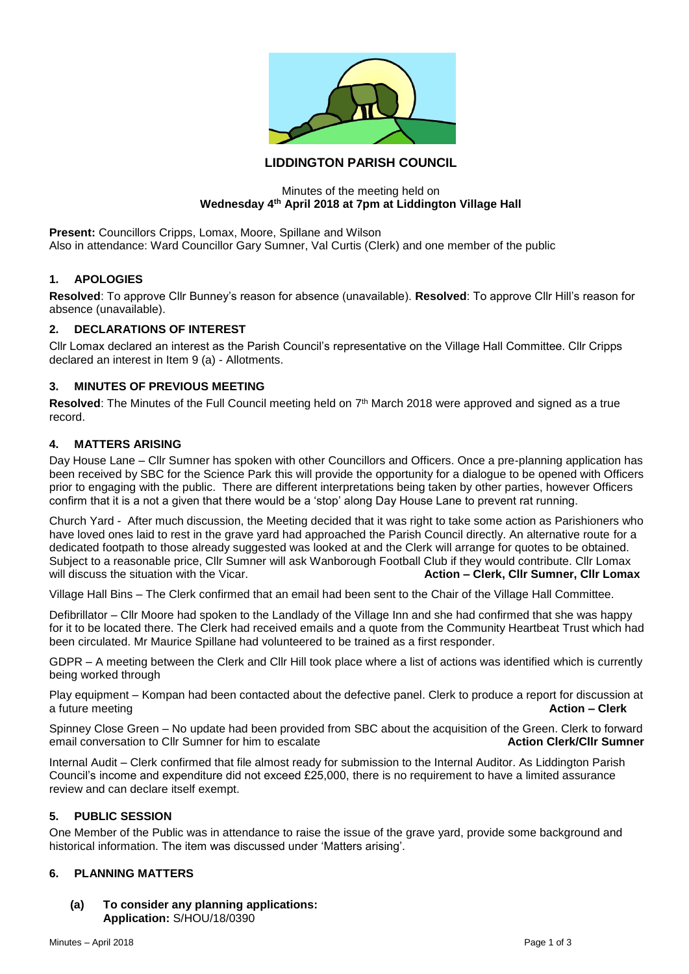

# **LIDDINGTON PARISH COUNCIL**

#### Minutes of the meeting held on **Wednesday 4th April 2018 at 7pm at Liddington Village Hall**

**Present:** Councillors Cripps, Lomax, Moore, Spillane and Wilson Also in attendance: Ward Councillor Gary Sumner, Val Curtis (Clerk) and one member of the public

### **1. APOLOGIES**

**Resolved**: To approve Cllr Bunney's reason for absence (unavailable). **Resolved**: To approve Cllr Hill's reason for absence (unavailable).

### **2. DECLARATIONS OF INTEREST**

Cllr Lomax declared an interest as the Parish Council's representative on the Village Hall Committee. Cllr Cripps declared an interest in Item 9 (a) - Allotments.

## **3. MINUTES OF PREVIOUS MEETING**

Resolved: The Minutes of the Full Council meeting held on 7<sup>th</sup> March 2018 were approved and signed as a true record.

### **4. MATTERS ARISING**

Day House Lane – Cllr Sumner has spoken with other Councillors and Officers. Once a pre-planning application has been received by SBC for the Science Park this will provide the opportunity for a dialogue to be opened with Officers prior to engaging with the public. There are different interpretations being taken by other parties, however Officers confirm that it is a not a given that there would be a 'stop' along Day House Lane to prevent rat running.

Church Yard - After much discussion, the Meeting decided that it was right to take some action as Parishioners who have loved ones laid to rest in the grave yard had approached the Parish Council directly. An alternative route for a dedicated footpath to those already suggested was looked at and the Clerk will arrange for quotes to be obtained. Subject to a reasonable price, Cllr Sumner will ask Wanborough Football Club if they would contribute. Cllr Lomax will discuss the situation with the Vicar. **Action – Clerk, Cllr Sumner, Cllr Lomax Action – Clerk, Cllr Sumner, Cllr Lomax** 

Village Hall Bins – The Clerk confirmed that an email had been sent to the Chair of the Village Hall Committee.

Defibrillator – Cllr Moore had spoken to the Landlady of the Village Inn and she had confirmed that she was happy for it to be located there. The Clerk had received emails and a quote from the Community Heartbeat Trust which had been circulated. Mr Maurice Spillane had volunteered to be trained as a first responder.

GDPR – A meeting between the Clerk and Cllr Hill took place where a list of actions was identified which is currently being worked through

Play equipment – Kompan had been contacted about the defective panel. Clerk to produce a report for discussion at a future meeting **Action – Clerk**

Spinney Close Green – No update had been provided from SBC about the acquisition of the Green. Clerk to forward<br>Action Clerk/Clir Sumner for him to escalate email conversation to Cllr Sumner for him to escalate

Internal Audit – Clerk confirmed that file almost ready for submission to the Internal Auditor. As Liddington Parish Council's income and expenditure did not exceed £25,000, there is no requirement to have a limited assurance review and can declare itself exempt.

### **5. PUBLIC SESSION**

One Member of the Public was in attendance to raise the issue of the grave yard, provide some background and historical information. The item was discussed under 'Matters arising'.

### **6. PLANNING MATTERS**

**(a) To consider any planning applications: Application:** S/HOU/18/0390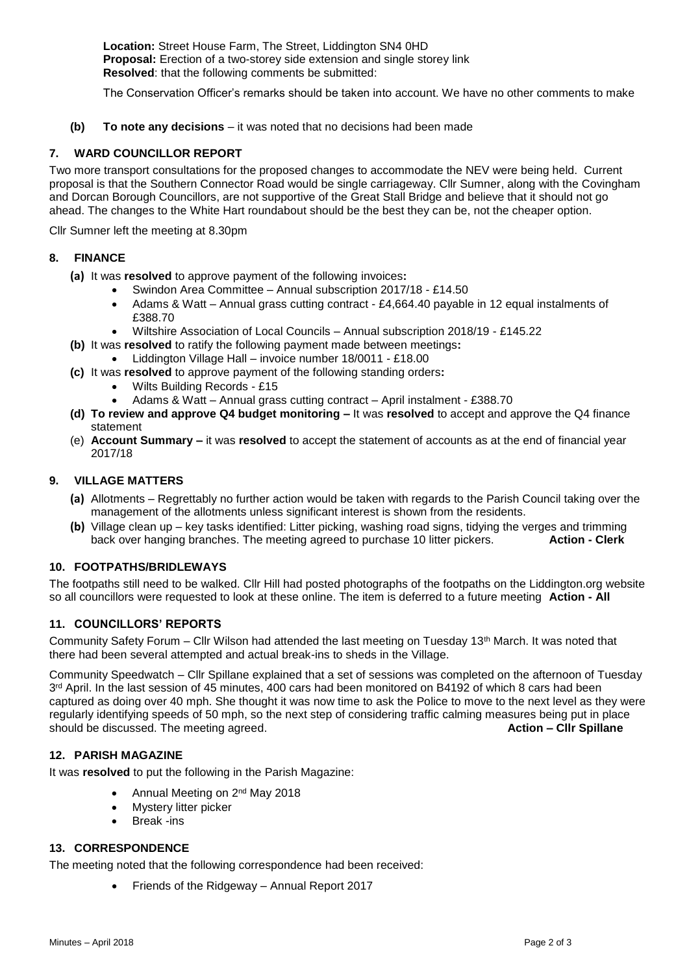**Location:** Street House Farm, The Street, Liddington SN4 0HD **Proposal:** Erection of a two-storey side extension and single storey link **Resolved**: that the following comments be submitted:

The Conservation Officer's remarks should be taken into account. We have no other comments to make

**(b) To note any decisions** – it was noted that no decisions had been made

## **7. WARD COUNCILLOR REPORT**

Two more transport consultations for the proposed changes to accommodate the NEV were being held. Current proposal is that the Southern Connector Road would be single carriageway. Cllr Sumner, along with the Covingham and Dorcan Borough Councillors, are not supportive of the Great Stall Bridge and believe that it should not go ahead. The changes to the White Hart roundabout should be the best they can be, not the cheaper option.

Cllr Sumner left the meeting at 8.30pm

### **8. FINANCE**

- **(a)** It was **resolved** to approve payment of the following invoices**:**
	- Swindon Area Committee Annual subscription 2017/18 £14.50
	- Adams & Watt Annual grass cutting contract £4,664.40 payable in 12 equal instalments of £388.70
	- Wiltshire Association of Local Councils Annual subscription 2018/19 £145.22
- **(b)** It was **resolved** to ratify the following payment made between meetings**:**
	- Liddington Village Hall invoice number 18/0011 £18.00
- **(c)** It was **resolved** to approve payment of the following standing orders**:**
	- Wilts Building Records £15
	- Adams & Watt Annual grass cutting contract April instalment £388.70
- **(d) To review and approve Q4 budget monitoring –** It was **resolved** to accept and approve the Q4 finance statement
- (e) **Account Summary –** it was **resolved** to accept the statement of accounts as at the end of financial year 2017/18

#### **9. VILLAGE MATTERS**

- **(a)** Allotments Regrettably no further action would be taken with regards to the Parish Council taking over the management of the allotments unless significant interest is shown from the residents.
- **(b)** Village clean up key tasks identified: Litter picking, washing road signs, tidying the verges and trimming back over hanging branches. The meeting agreed to purchase 10 litter pickers.

### **10. FOOTPATHS/BRIDLEWAYS**

The footpaths still need to be walked. Cllr Hill had posted photographs of the footpaths on the Liddington.org website so all councillors were requested to look at these online. The item is deferred to a future meeting **Action - All**

### **11. COUNCILLORS' REPORTS**

Community Safety Forum – Cllr Wilson had attended the last meeting on Tuesday 13th March. It was noted that there had been several attempted and actual break-ins to sheds in the Village.

Community Speedwatch – Cllr Spillane explained that a set of sessions was completed on the afternoon of Tuesday 3<sup>rd</sup> April. In the last session of 45 minutes, 400 cars had been monitored on B4192 of which 8 cars had been captured as doing over 40 mph. She thought it was now time to ask the Police to move to the next level as they were regularly identifying speeds of 50 mph, so the next step of considering traffic calming measures being put in place<br>
should be discussed. The meeting agreed. should be discussed. The meeting agreed.

## **12. PARISH MAGAZINE**

It was **resolved** to put the following in the Parish Magazine:

- Annual Meeting on 2nd May 2018
- **Mystery litter picker**
- Break -ins

### **13. CORRESPONDENCE**

The meeting noted that the following correspondence had been received:

• Friends of the Ridgeway – Annual Report 2017